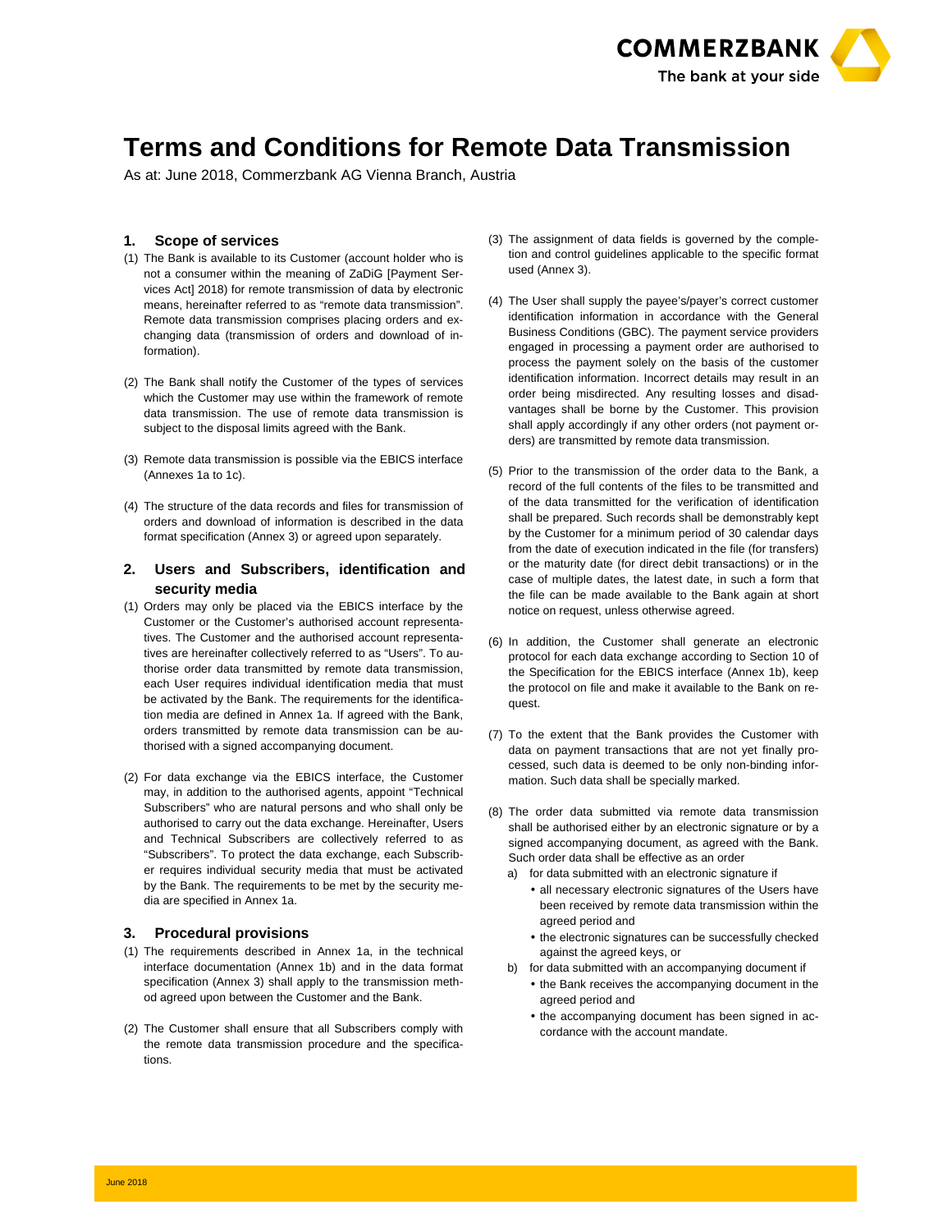

# **Terms and Conditions for Remote Data Transmission**

As at: June 2018, Commerzbank AG Vienna Branch, Austria

# **1. Scope of services**

- (1) The Bank is available to its Customer (account holder who is not a consumer within the meaning of ZaDiG [Payment Services Act] 2018) for remote transmission of data by electronic means, hereinafter referred to as "remote data transmission". Remote data transmission comprises placing orders and exchanging data (transmission of orders and download of information).
- (2) The Bank shall notify the Customer of the types of services which the Customer may use within the framework of remote data transmission. The use of remote data transmission is subject to the disposal limits agreed with the Bank.
- (3) Remote data transmission is possible via the EBICS interface (Annexes 1a to 1c).
- (4) The structure of the data records and files for transmission of orders and download of information is described in the data format specification (Annex 3) or agreed upon separately.

# **2. Users and Subscribers, identification and security media**

- (1) Orders may only be placed via the EBICS interface by the Customer or the Customer's authorised account representatives. The Customer and the authorised account representatives are hereinafter collectively referred to as "Users". To authorise order data transmitted by remote data transmission, each User requires individual identification media that must be activated by the Bank. The requirements for the identification media are defined in Annex 1a. If agreed with the Bank, orders transmitted by remote data transmission can be authorised with a signed accompanying document.
- (2) For data exchange via the EBICS interface, the Customer may, in addition to the authorised agents, appoint "Technical Subscribers" who are natural persons and who shall only be authorised to carry out the data exchange. Hereinafter, Users and Technical Subscribers are collectively referred to as "Subscribers". To protect the data exchange, each Subscriber requires individual security media that must be activated by the Bank. The requirements to be met by the security media are specified in Annex 1a.

# **3. Procedural provisions**

- (1) The requirements described in Annex 1a, in the technical interface documentation (Annex 1b) and in the data format specification (Annex 3) shall apply to the transmission method agreed upon between the Customer and the Bank.
- (2) The Customer shall ensure that all Subscribers comply with the remote data transmission procedure and the specifications.
- (3) The assignment of data fields is governed by the completion and control guidelines applicable to the specific format used (Annex 3).
- (4) The User shall supply the payee's/payer's correct customer identification information in accordance with the General Business Conditions (GBC). The payment service providers engaged in processing a payment order are authorised to process the payment solely on the basis of the customer identification information. Incorrect details may result in an order being misdirected. Any resulting losses and disadvantages shall be borne by the Customer. This provision shall apply accordingly if any other orders (not payment orders) are transmitted by remote data transmission.
- (5) Prior to the transmission of the order data to the Bank, a record of the full contents of the files to be transmitted and of the data transmitted for the verification of identification shall be prepared. Such records shall be demonstrably kept by the Customer for a minimum period of 30 calendar days from the date of execution indicated in the file (for transfers) or the maturity date (for direct debit transactions) or in the case of multiple dates, the latest date, in such a form that the file can be made available to the Bank again at short notice on request, unless otherwise agreed.
- (6) In addition, the Customer shall generate an electronic protocol for each data exchange according to Section 10 of the Specification for the EBICS interface (Annex 1b), keep the protocol on file and make it available to the Bank on request.
- (7) To the extent that the Bank provides the Customer with data on payment transactions that are not yet finally processed, such data is deemed to be only non-binding information. Such data shall be specially marked.
- (8) The order data submitted via remote data transmission shall be authorised either by an electronic signature or by a signed accompanying document, as agreed with the Bank. Such order data shall be effective as an order
	- a) for data submitted with an electronic signature if
		- all necessary electronic signatures of the Users have been received by remote data transmission within the agreed period and
		- the electronic signatures can be successfully checked against the agreed keys, or
	- b) for data submitted with an accompanying document if
		- the Bank receives the accompanying document in the agreed period and
		- the accompanying document has been signed in accordance with the account mandate.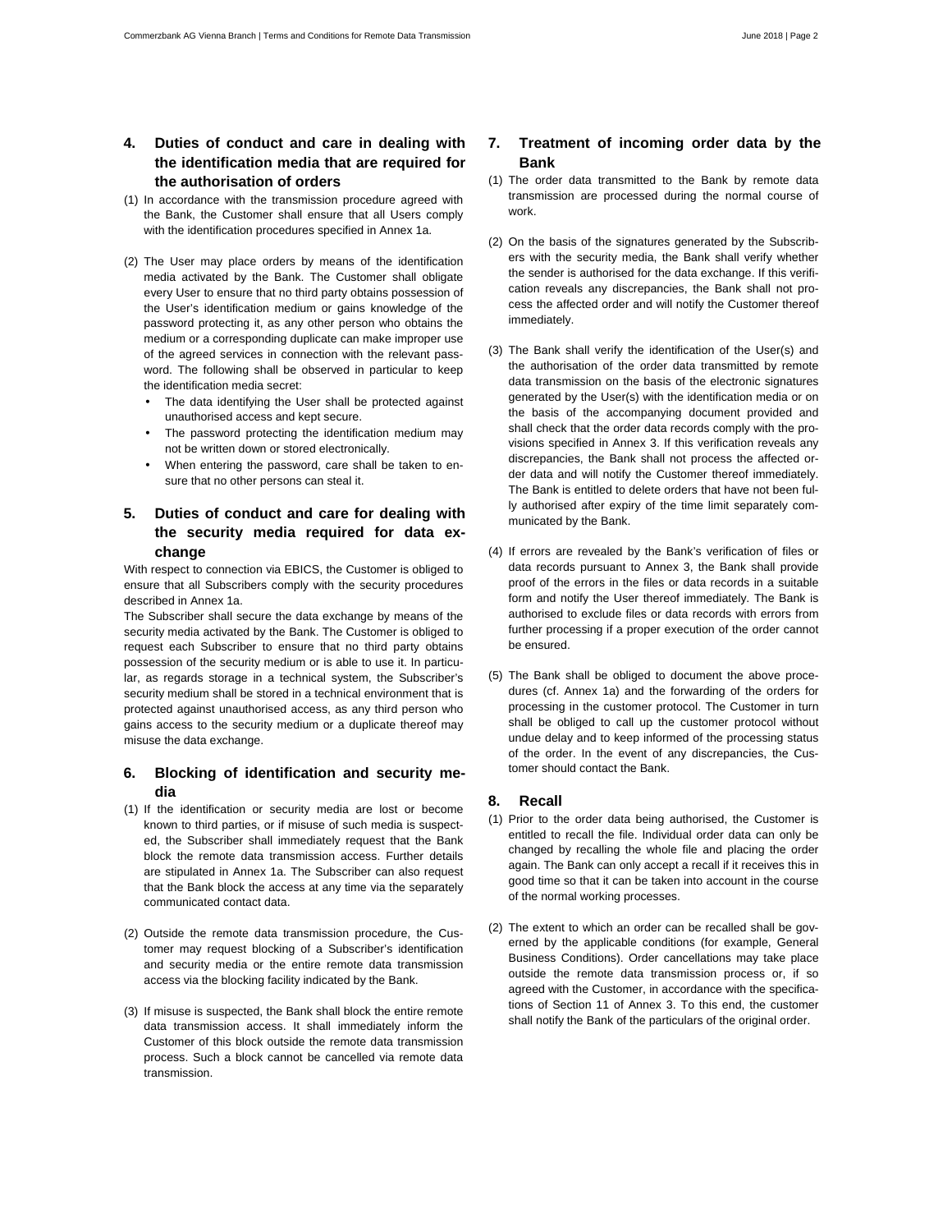# **4. Duties of conduct and care in dealing with the identification media that are required for the authorisation of orders**

- (1) In accordance with the transmission procedure agreed with the Bank, the Customer shall ensure that all Users comply with the identification procedures specified in Annex 1a.
- (2) The User may place orders by means of the identification media activated by the Bank. The Customer shall obligate every User to ensure that no third party obtains possession of the User's identification medium or gains knowledge of the password protecting it, as any other person who obtains the medium or a corresponding duplicate can make improper use of the agreed services in connection with the relevant password. The following shall be observed in particular to keep the identification media secret:
	- The data identifying the User shall be protected against unauthorised access and kept secure.
	- The password protecting the identification medium may not be written down or stored electronically.
	- When entering the password, care shall be taken to ensure that no other persons can steal it.

# **5. Duties of conduct and care for dealing with the security media required for data exchange**

With respect to connection via EBICS, the Customer is obliged to ensure that all Subscribers comply with the security procedures described in Annex 1a.

The Subscriber shall secure the data exchange by means of the security media activated by the Bank. The Customer is obliged to request each Subscriber to ensure that no third party obtains possession of the security medium or is able to use it. In particular, as regards storage in a technical system, the Subscriber's security medium shall be stored in a technical environment that is protected against unauthorised access, as any third person who gains access to the security medium or a duplicate thereof may misuse the data exchange.

# **6. Blocking of identification and security media**

- (1) If the identification or security media are lost or become known to third parties, or if misuse of such media is suspected, the Subscriber shall immediately request that the Bank block the remote data transmission access. Further details are stipulated in Annex 1a. The Subscriber can also request that the Bank block the access at any time via the separately communicated contact data.
- (2) Outside the remote data transmission procedure, the Customer may request blocking of a Subscriber's identification and security media or the entire remote data transmission access via the blocking facility indicated by the Bank.
- (3) If misuse is suspected, the Bank shall block the entire remote data transmission access. It shall immediately inform the Customer of this block outside the remote data transmission process. Such a block cannot be cancelled via remote data transmission.

# **7. Treatment of incoming order data by the Bank**

- (1) The order data transmitted to the Bank by remote data transmission are processed during the normal course of work.
- (2) On the basis of the signatures generated by the Subscribers with the security media, the Bank shall verify whether the sender is authorised for the data exchange. If this verification reveals any discrepancies, the Bank shall not process the affected order and will notify the Customer thereof immediately.
- (3) The Bank shall verify the identification of the User(s) and the authorisation of the order data transmitted by remote data transmission on the basis of the electronic signatures generated by the User(s) with the identification media or on the basis of the accompanying document provided and shall check that the order data records comply with the provisions specified in Annex 3. If this verification reveals any discrepancies, the Bank shall not process the affected order data and will notify the Customer thereof immediately. The Bank is entitled to delete orders that have not been fully authorised after expiry of the time limit separately communicated by the Bank.
- (4) If errors are revealed by the Bank's verification of files or data records pursuant to Annex 3, the Bank shall provide proof of the errors in the files or data records in a suitable form and notify the User thereof immediately. The Bank is authorised to exclude files or data records with errors from further processing if a proper execution of the order cannot be ensured.
- (5) The Bank shall be obliged to document the above procedures (cf. Annex 1a) and the forwarding of the orders for processing in the customer protocol. The Customer in turn shall be obliged to call up the customer protocol without undue delay and to keep informed of the processing status of the order. In the event of any discrepancies, the Customer should contact the Bank.

## **8. Recall**

- (1) Prior to the order data being authorised, the Customer is entitled to recall the file. Individual order data can only be changed by recalling the whole file and placing the order again. The Bank can only accept a recall if it receives this in good time so that it can be taken into account in the course of the normal working processes.
- (2) The extent to which an order can be recalled shall be governed by the applicable conditions (for example, General Business Conditions). Order cancellations may take place outside the remote data transmission process or, if so agreed with the Customer, in accordance with the specifications of Section 11 of Annex 3. To this end, the customer shall notify the Bank of the particulars of the original order.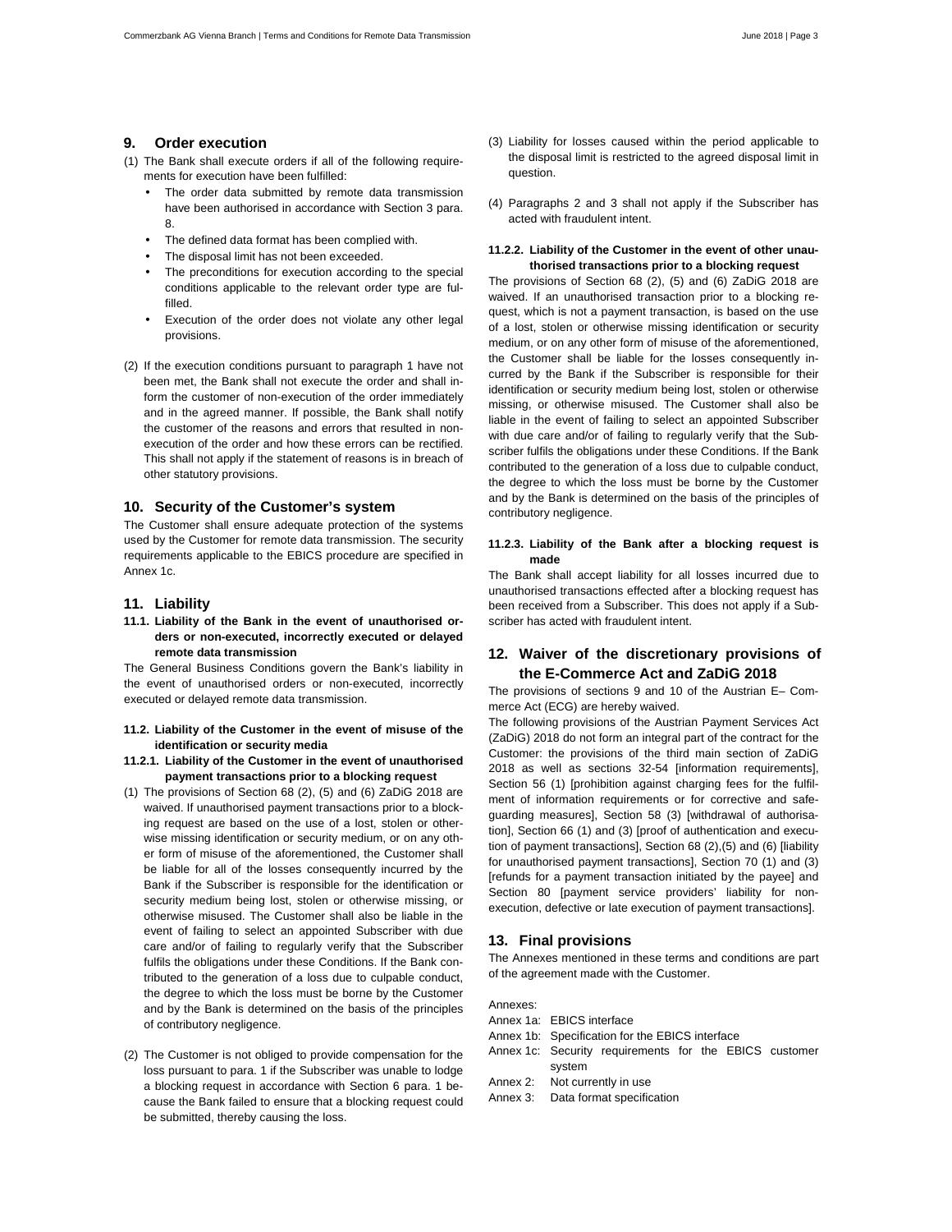# **9. Order execution**

- (1) The Bank shall execute orders if all of the following requirements for execution have been fulfilled:
	- The order data submitted by remote data transmission have been authorised in accordance with Section 3 para. 8.
	- The defined data format has been complied with.
	- The disposal limit has not been exceeded.
	- The preconditions for execution according to the special conditions applicable to the relevant order type are fulfilled.
	- Execution of the order does not violate any other legal provisions.
- (2) If the execution conditions pursuant to paragraph 1 have not been met, the Bank shall not execute the order and shall inform the customer of non-execution of the order immediately and in the agreed manner. If possible, the Bank shall notify the customer of the reasons and errors that resulted in nonexecution of the order and how these errors can be rectified. This shall not apply if the statement of reasons is in breach of other statutory provisions.

#### **10. Security of the Customer's system**

The Customer shall ensure adequate protection of the systems used by the Customer for remote data transmission. The security requirements applicable to the EBICS procedure are specified in Annex 1c.

#### **11. Liability**

**11.1. Liability of the Bank in the event of unauthorised orders or non-executed, incorrectly executed or delayed remote data transmission** 

The General Business Conditions govern the Bank's liability in the event of unauthorised orders or non-executed, incorrectly executed or delayed remote data transmission.

- **11.2. Liability of the Customer in the event of misuse of the identification or security media**
- **11.2.1. Liability of the Customer in the event of unauthorised payment transactions prior to a blocking request**
- (1) The provisions of Section 68 (2), (5) and (6) ZaDiG 2018 are waived. If unauthorised payment transactions prior to a blocking request are based on the use of a lost, stolen or otherwise missing identification or security medium, or on any other form of misuse of the aforementioned, the Customer shall be liable for all of the losses consequently incurred by the Bank if the Subscriber is responsible for the identification or security medium being lost, stolen or otherwise missing, or otherwise misused. The Customer shall also be liable in the event of failing to select an appointed Subscriber with due care and/or of failing to regularly verify that the Subscriber fulfils the obligations under these Conditions. If the Bank contributed to the generation of a loss due to culpable conduct, the degree to which the loss must be borne by the Customer and by the Bank is determined on the basis of the principles of contributory negligence.
- (2) The Customer is not obliged to provide compensation for the loss pursuant to para. 1 if the Subscriber was unable to lodge a blocking request in accordance with Section 6 para. 1 because the Bank failed to ensure that a blocking request could be submitted, thereby causing the loss.
- (3) Liability for losses caused within the period applicable to the disposal limit is restricted to the agreed disposal limit in question.
- (4) Paragraphs 2 and 3 shall not apply if the Subscriber has acted with fraudulent intent.

## **11.2.2. Liability of the Customer in the event of other unauthorised transactions prior to a blocking request**

The provisions of Section 68 (2), (5) and (6) ZaDiG 2018 are waived. If an unauthorised transaction prior to a blocking request, which is not a payment transaction, is based on the use of a lost, stolen or otherwise missing identification or security medium, or on any other form of misuse of the aforementioned, the Customer shall be liable for the losses consequently incurred by the Bank if the Subscriber is responsible for their identification or security medium being lost, stolen or otherwise missing, or otherwise misused. The Customer shall also be liable in the event of failing to select an appointed Subscriber with due care and/or of failing to regularly verify that the Subscriber fulfils the obligations under these Conditions. If the Bank contributed to the generation of a loss due to culpable conduct, the degree to which the loss must be borne by the Customer and by the Bank is determined on the basis of the principles of contributory negligence.

## **11.2.3. Liability of the Bank after a blocking request is made**

The Bank shall accept liability for all losses incurred due to unauthorised transactions effected after a blocking request has been received from a Subscriber. This does not apply if a Subscriber has acted with fraudulent intent.

# **12. Waiver of the discretionary provisions of the E-Commerce Act and ZaDiG 2018**

The provisions of sections 9 and 10 of the Austrian E– Commerce Act (ECG) are hereby waived.

The following provisions of the Austrian Payment Services Act (ZaDiG) 2018 do not form an integral part of the contract for the Customer: the provisions of the third main section of ZaDiG 2018 as well as sections 32-54 [information requirements], Section 56 (1) [prohibition against charging fees for the fulfilment of information requirements or for corrective and safeguarding measures], Section 58 (3) [withdrawal of authorisation], Section 66 (1) and (3) [proof of authentication and execution of payment transactions], Section 68 (2),(5) and (6) [liability for unauthorised payment transactions], Section 70 (1) and (3) [refunds for a payment transaction initiated by the payee] and Section 80 [payment service providers' liability for nonexecution, defective or late execution of payment transactions].

# **13. Final provisions**

The Annexes mentioned in these terms and conditions are part of the agreement made with the Customer.

Annexes:

- Annex 1a: EBICS interface
- Annex 1b: Specification for the EBICS interface
- Annex 1c: Security requirements for the EBICS customer system
- Annex 2: Not currently in use
- Annex 3: Data format specification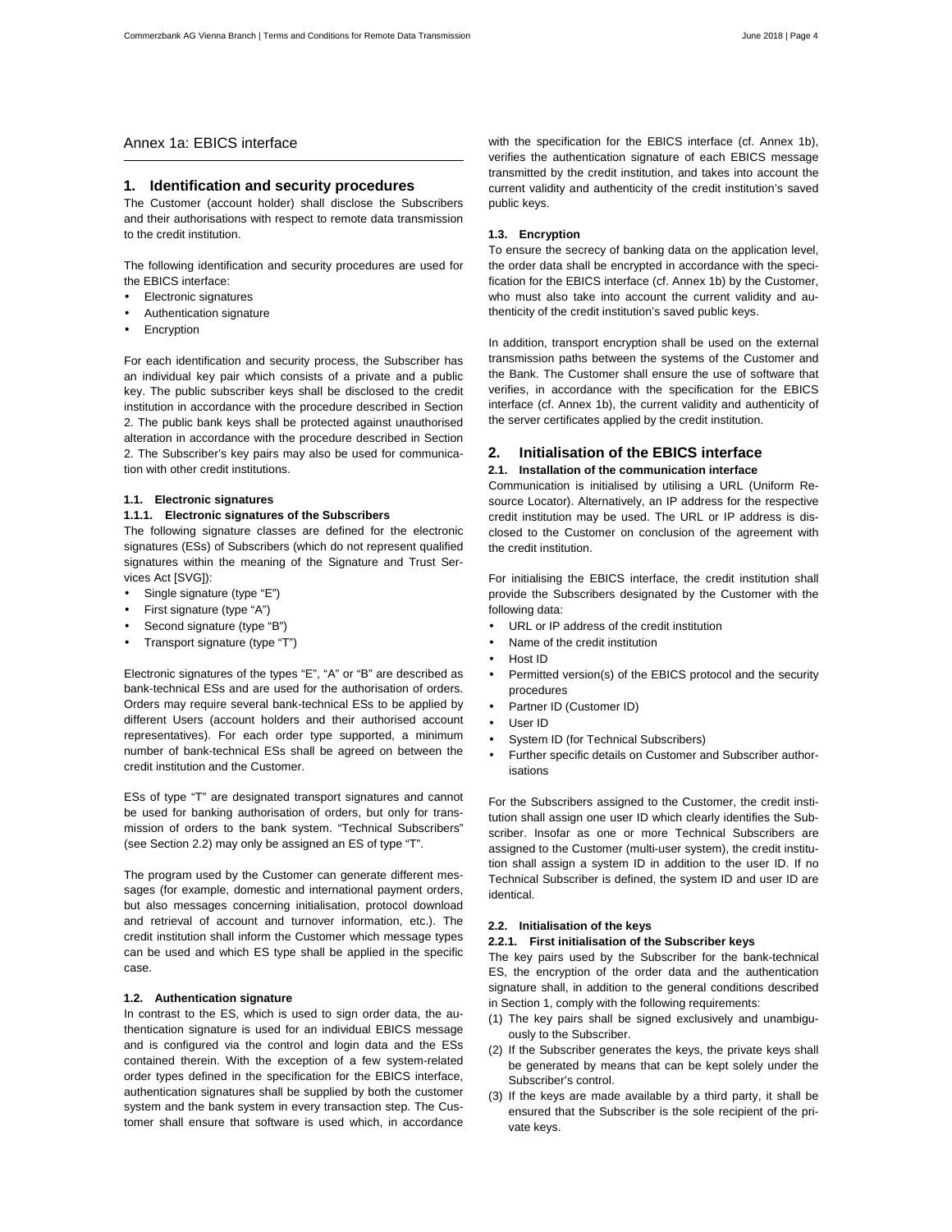# Annex 1a: EBICS interface

# **1. Identification and security procedures**

The Customer (account holder) shall disclose the Subscribers and their authorisations with respect to remote data transmission to the credit institution.

The following identification and security procedures are used for the EBICS interface:

- Electronic signatures
- Authentication signature
- **Encryption**

For each identification and security process, the Subscriber has an individual key pair which consists of a private and a public key. The public subscriber keys shall be disclosed to the credit institution in accordance with the procedure described in Section 2. The public bank keys shall be protected against unauthorised alteration in accordance with the procedure described in Section 2. The Subscriber's key pairs may also be used for communication with other credit institutions.

#### **1.1. Electronic signatures**

#### **1.1.1. Electronic signatures of the Subscribers**

The following signature classes are defined for the electronic signatures (ESs) of Subscribers (which do not represent qualified signatures within the meaning of the Signature and Trust Services Act [SVG]):

- Single signature (type "E")
- First signature (type "A")
- Second signature (type "B")
- Transport signature (type "T")

Electronic signatures of the types "E", "A" or "B" are described as bank-technical ESs and are used for the authorisation of orders. Orders may require several bank-technical ESs to be applied by different Users (account holders and their authorised account representatives). For each order type supported, a minimum number of bank-technical ESs shall be agreed on between the credit institution and the Customer.

ESs of type "T" are designated transport signatures and cannot be used for banking authorisation of orders, but only for transmission of orders to the bank system. "Technical Subscribers" (see Section 2.2) may only be assigned an ES of type "T".

The program used by the Customer can generate different messages (for example, domestic and international payment orders, but also messages concerning initialisation, protocol download and retrieval of account and turnover information, etc.). The credit institution shall inform the Customer which message types can be used and which ES type shall be applied in the specific case.

## **1.2. Authentication signature**

In contrast to the ES, which is used to sign order data, the authentication signature is used for an individual EBICS message and is configured via the control and login data and the ESs contained therein. With the exception of a few system-related order types defined in the specification for the EBICS interface, authentication signatures shall be supplied by both the customer system and the bank system in every transaction step. The Customer shall ensure that software is used which, in accordance with the specification for the EBICS interface (cf. Annex 1b), verifies the authentication signature of each EBICS message transmitted by the credit institution, and takes into account the current validity and authenticity of the credit institution's saved public keys.

#### **1.3. Encryption**

To ensure the secrecy of banking data on the application level, the order data shall be encrypted in accordance with the specification for the EBICS interface (cf. Annex 1b) by the Customer, who must also take into account the current validity and authenticity of the credit institution's saved public keys.

In addition, transport encryption shall be used on the external transmission paths between the systems of the Customer and the Bank. The Customer shall ensure the use of software that verifies, in accordance with the specification for the EBICS interface (cf. Annex 1b), the current validity and authenticity of the server certificates applied by the credit institution.

# **2. Initialisation of the EBICS interface**

# **2.1. Installation of the communication interface**

Communication is initialised by utilising a URL (Uniform Resource Locator). Alternatively, an IP address for the respective credit institution may be used. The URL or IP address is disclosed to the Customer on conclusion of the agreement with the credit institution.

For initialising the EBICS interface, the credit institution shall provide the Subscribers designated by the Customer with the following data:

- URL or IP address of the credit institution
- Name of the credit institution
- Host ID
- Permitted version(s) of the EBICS protocol and the security procedures
- Partner ID (Customer ID)
- User ID
- System ID (for Technical Subscribers)
- Further specific details on Customer and Subscriber authorisations

For the Subscribers assigned to the Customer, the credit institution shall assign one user ID which clearly identifies the Subscriber. Insofar as one or more Technical Subscribers are assigned to the Customer (multi-user system), the credit institution shall assign a system ID in addition to the user ID. If no Technical Subscriber is defined, the system ID and user ID are identical.

#### **2.2. Initialisation of the keys**

## **2.2.1. First initialisation of the Subscriber keys**

The key pairs used by the Subscriber for the bank-technical ES, the encryption of the order data and the authentication signature shall, in addition to the general conditions described in Section 1, comply with the following requirements:

- (1) The key pairs shall be signed exclusively and unambiguously to the Subscriber.
- (2) If the Subscriber generates the keys, the private keys shall be generated by means that can be kept solely under the Subscriber's control.
- (3) If the keys are made available by a third party, it shall be ensured that the Subscriber is the sole recipient of the private keys.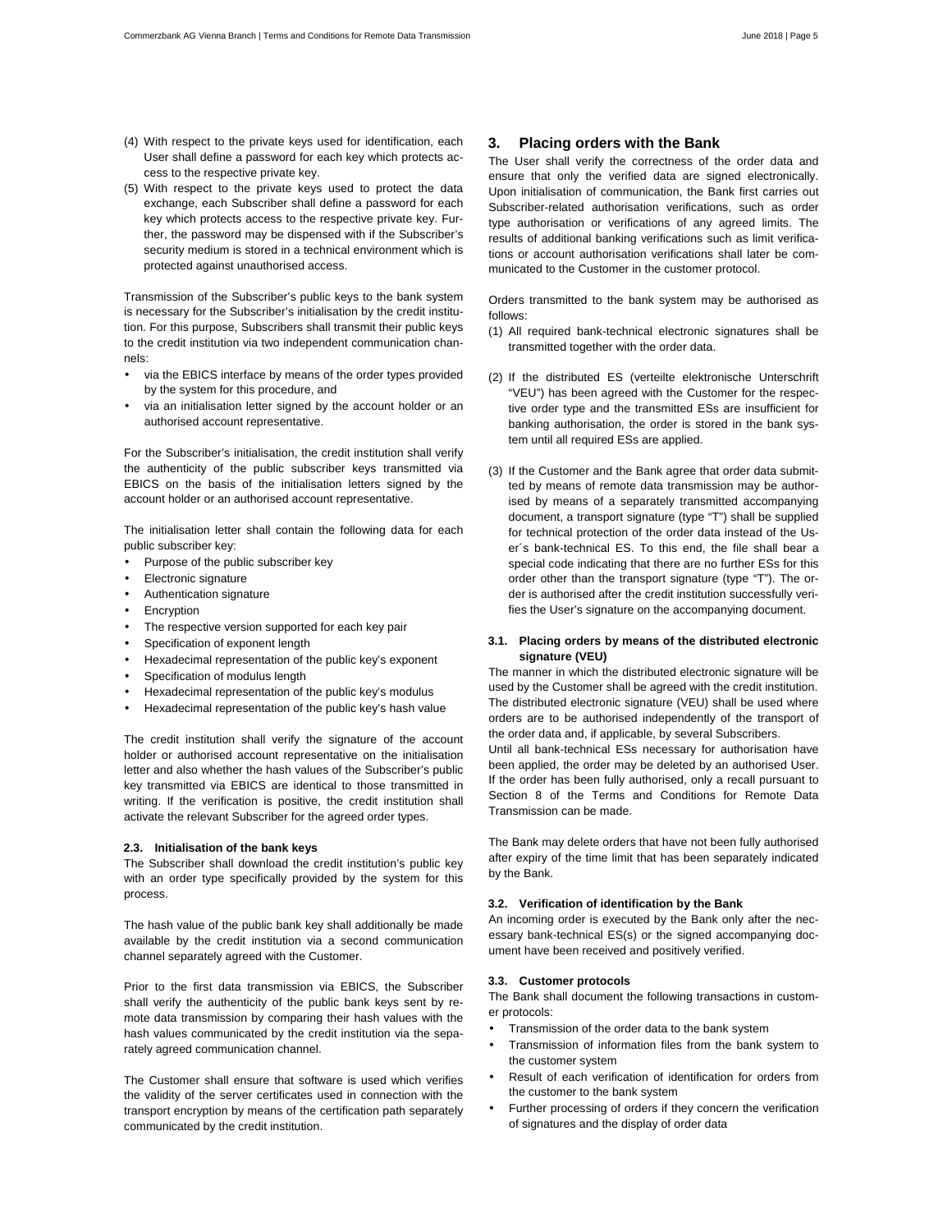- (4) With respect to the private keys used for identification, each User shall define a password for each key which protects access to the respective private key.
- (5) With respect to the private keys used to protect the data exchange, each Subscriber shall define a password for each key which protects access to the respective private key. Further, the password may be dispensed with if the Subscriber's security medium is stored in a technical environment which is protected against unauthorised access.

Transmission of the Subscriber's public keys to the bank system is necessary for the Subscriber's initialisation by the credit institution. For this purpose, Subscribers shall transmit their public keys to the credit institution via two independent communication channels:

- via the EBICS interface by means of the order types provided by the system for this procedure, and
- via an initialisation letter signed by the account holder or an authorised account representative.

For the Subscriber's initialisation, the credit institution shall verify the authenticity of the public subscriber keys transmitted via EBICS on the basis of the initialisation letters signed by the account holder or an authorised account representative.

The initialisation letter shall contain the following data for each public subscriber key:

- Purpose of the public subscriber key
- Electronic signature
- Authentication signature
- **Encryption**
- The respective version supported for each key pair
- Specification of exponent length
- Hexadecimal representation of the public key's exponent
- Specification of modulus length
- Hexadecimal representation of the public key's modulus
- Hexadecimal representation of the public key's hash value

The credit institution shall verify the signature of the account holder or authorised account representative on the initialisation letter and also whether the hash values of the Subscriber's public key transmitted via EBICS are identical to those transmitted in writing. If the verification is positive, the credit institution shall activate the relevant Subscriber for the agreed order types.

#### **2.3. Initialisation of the bank keys**

The Subscriber shall download the credit institution's public key with an order type specifically provided by the system for this process.

The hash value of the public bank key shall additionally be made available by the credit institution via a second communication channel separately agreed with the Customer.

Prior to the first data transmission via EBICS, the Subscriber shall verify the authenticity of the public bank keys sent by remote data transmission by comparing their hash values with the hash values communicated by the credit institution via the separately agreed communication channel.

The Customer shall ensure that software is used which verifies the validity of the server certificates used in connection with the transport encryption by means of the certification path separately communicated by the credit institution.

# **3. Placing orders with the Bank**

The User shall verify the correctness of the order data and ensure that only the verified data are signed electronically. Upon initialisation of communication, the Bank first carries out Subscriber-related authorisation verifications, such as order type authorisation or verifications of any agreed limits. The results of additional banking verifications such as limit verifications or account authorisation verifications shall later be communicated to the Customer in the customer protocol.

Orders transmitted to the bank system may be authorised as follows:

- (1) All required bank-technical electronic signatures shall be transmitted together with the order data.
- (2) If the distributed ES (verteilte elektronische Unterschrift "VEU") has been agreed with the Customer for the respective order type and the transmitted ESs are insufficient for banking authorisation, the order is stored in the bank system until all required ESs are applied.
- (3) If the Customer and the Bank agree that order data submitted by means of remote data transmission may be authorised by means of a separately transmitted accompanying document, a transport signature (type "T") shall be supplied for technical protection of the order data instead of the User´s bank-technical ES. To this end, the file shall bear a special code indicating that there are no further ESs for this order other than the transport signature (type "T"). The order is authorised after the credit institution successfully verifies the User's signature on the accompanying document.

#### **3.1. Placing orders by means of the distributed electronic signature (VEU)**

The manner in which the distributed electronic signature will be used by the Customer shall be agreed with the credit institution. The distributed electronic signature (VEU) shall be used where orders are to be authorised independently of the transport of the order data and, if applicable, by several Subscribers.

Until all bank-technical ESs necessary for authorisation have been applied, the order may be deleted by an authorised User. If the order has been fully authorised, only a recall pursuant to Section 8 of the Terms and Conditions for Remote Data Transmission can be made.

The Bank may delete orders that have not been fully authorised after expiry of the time limit that has been separately indicated by the Bank.

#### **3.2. Verification of identification by the Bank**

An incoming order is executed by the Bank only after the necessary bank-technical ES(s) or the signed accompanying document have been received and positively verified.

#### **3.3. Customer protocols**

The Bank shall document the following transactions in customer protocols:

- Transmission of the order data to the bank system
- Transmission of information files from the bank system to the customer system
- Result of each verification of identification for orders from the customer to the bank system
- Further processing of orders if they concern the verification of signatures and the display of order data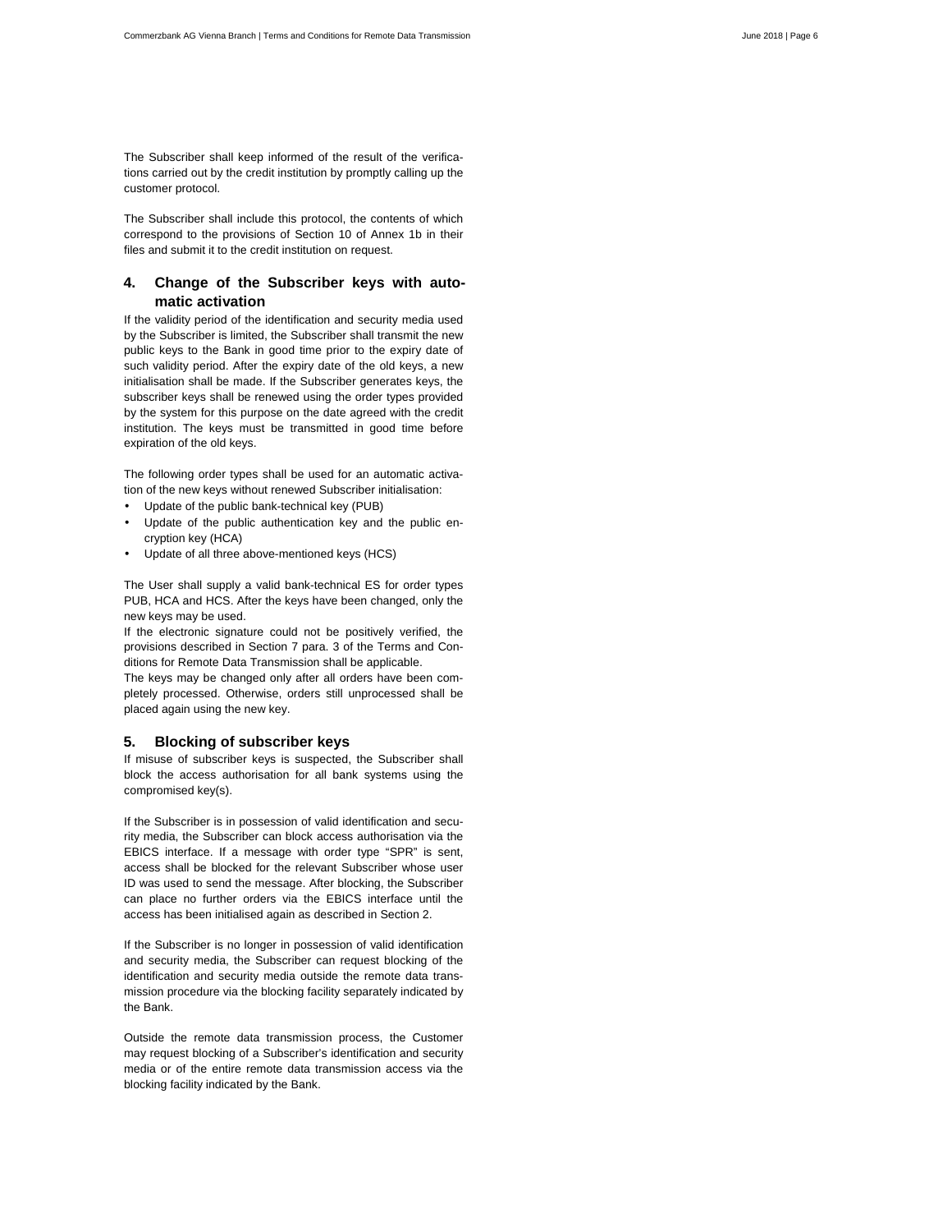The Subscriber shall keep informed of the result of the verifications carried out by the credit institution by promptly calling up the customer protocol.

The Subscriber shall include this protocol, the contents of which correspond to the provisions of Section 10 of Annex 1b in their files and submit it to the credit institution on request.

# **4. Change of the Subscriber keys with automatic activation**

If the validity period of the identification and security media used by the Subscriber is limited, the Subscriber shall transmit the new public keys to the Bank in good time prior to the expiry date of such validity period. After the expiry date of the old keys, a new initialisation shall be made. If the Subscriber generates keys, the subscriber keys shall be renewed using the order types provided by the system for this purpose on the date agreed with the credit institution. The keys must be transmitted in good time before expiration of the old keys.

The following order types shall be used for an automatic activation of the new keys without renewed Subscriber initialisation:

- Update of the public bank-technical key (PUB)
- Update of the public authentication key and the public encryption key (HCA)
- Update of all three above-mentioned keys (HCS)

The User shall supply a valid bank-technical ES for order types PUB, HCA and HCS. After the keys have been changed, only the new keys may be used.

If the electronic signature could not be positively verified, the provisions described in Section 7 para. 3 of the Terms and Conditions for Remote Data Transmission shall be applicable.

The keys may be changed only after all orders have been completely processed. Otherwise, orders still unprocessed shall be placed again using the new key.

#### **5. Blocking of subscriber keys**

If misuse of subscriber keys is suspected, the Subscriber shall block the access authorisation for all bank systems using the compromised key(s).

If the Subscriber is in possession of valid identification and security media, the Subscriber can block access authorisation via the EBICS interface. If a message with order type "SPR" is sent, access shall be blocked for the relevant Subscriber whose user ID was used to send the message. After blocking, the Subscriber can place no further orders via the EBICS interface until the access has been initialised again as described in Section 2.

If the Subscriber is no longer in possession of valid identification and security media, the Subscriber can request blocking of the identification and security media outside the remote data transmission procedure via the blocking facility separately indicated by the Bank.

Outside the remote data transmission process, the Customer may request blocking of a Subscriber's identification and security media or of the entire remote data transmission access via the blocking facility indicated by the Bank.